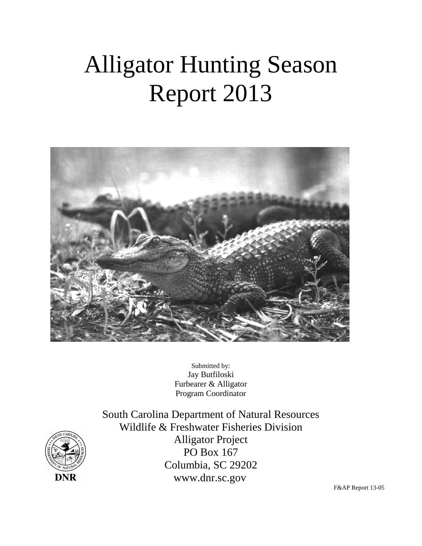# Alligator Hunting Season Report 2013



Submitted by: Jay Butfiloski Furbearer & Alligator Program Coordinator



South Carolina Department of Natural Resources Wildlife & Freshwater Fisheries Division Alligator Project PO Box 167 Columbia, SC 29202 www.dnr.sc.gov

F&AP Report 13-05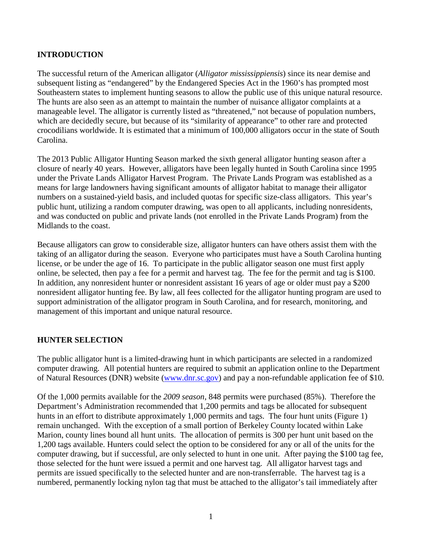#### **INTRODUCTION**

The successful return of the American alligator (*Alligator mississippiensis*) since its near demise and subsequent listing as "endangered" by the Endangered Species Act in the 1960's has prompted most Southeastern states to implement hunting seasons to allow the public use of this unique natural resource. The hunts are also seen as an attempt to maintain the number of nuisance alligator complaints at a manageable level. The alligator is currently listed as "threatened," not because of population numbers, which are decidedly secure, but because of its "similarity of appearance" to other rare and protected crocodilians worldwide. It is estimated that a minimum of 100,000 alligators occur in the state of South Carolina.

The 2013 Public Alligator Hunting Season marked the sixth general alligator hunting season after a closure of nearly 40 years. However, alligators have been legally hunted in South Carolina since 1995 under the Private Lands Alligator Harvest Program. The Private Lands Program was established as a means for large landowners having significant amounts of alligator habitat to manage their alligator numbers on a sustained-yield basis, and included quotas for specific size-class alligators. This year's public hunt, utilizing a random computer drawing, was open to all applicants, including nonresidents, and was conducted on public and private lands (not enrolled in the Private Lands Program) from the Midlands to the coast.

Because alligators can grow to considerable size, alligator hunters can have others assist them with the taking of an alligator during the season. Everyone who participates must have a South Carolina hunting license, or be under the age of 16. To participate in the public alligator season one must first apply online, be selected, then pay a fee for a permit and harvest tag. The fee for the permit and tag is \$100. In addition, any nonresident hunter or nonresident assistant 16 years of age or older must pay a \$200 nonresident alligator hunting fee. By law, all fees collected for the alligator hunting program are used to support administration of the alligator program in South Carolina, and for research, monitoring, and management of this important and unique natural resource.

#### **HUNTER SELECTION**

The public alligator hunt is a limited-drawing hunt in which participants are selected in a randomized computer drawing. All potential hunters are required to submit an application online to the Department of Natural Resources (DNR) website [\(www.dnr.sc.gov\)](http://www.dnr.sc.gov/) and pay a non-refundable application fee of \$10.

Of the 1,000 permits available for the *2009 season*, 848 permits were purchased (85%). Therefore the Department's Administration recommended that 1,200 permits and tags be allocated for subsequent hunts in an effort to distribute approximately 1,000 permits and tags. The four hunt units (Figure 1) remain unchanged. With the exception of a small portion of Berkeley County located within Lake Marion, county lines bound all hunt units. The allocation of permits is 300 per hunt unit based on the 1,200 tags available. Hunters could select the option to be considered for any or all of the units for the computer drawing, but if successful, are only selected to hunt in one unit. After paying the \$100 tag fee, those selected for the hunt were issued a permit and one harvest tag. All alligator harvest tags and permits are issued specifically to the selected hunter and are non-transferrable. The harvest tag is a numbered, permanently locking nylon tag that must be attached to the alligator's tail immediately after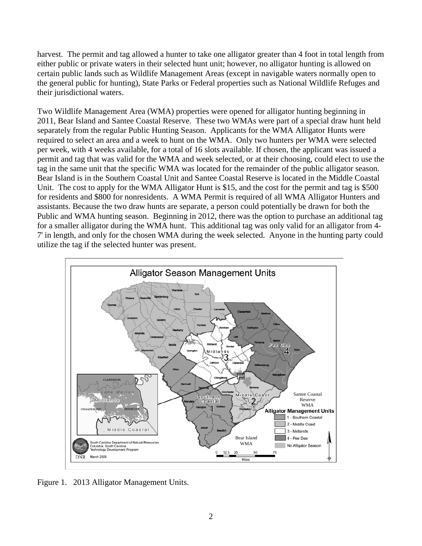harvest. The permit and tag allowed a hunter to take one alligator greater than 4 foot in total length from either public or private waters in their selected hunt unit; however, no alligator hunting is allowed on certain public lands such as Wildlife Management Areas (except in navigable waters normally open to the general public for hunting), State Parks or Federal properties such as National Wildlife Refuges and their jurisdictional waters.

Two Wildlife Management Area (WMA) properties were opened for alligator hunting beginning in 2011, Bear Island and Santee Coastal Reserve. These two WMAs were part of a special draw hunt held separately from the regular Public Hunting Season. Applicants for the WMA Alligator Hunts were required to select an area and a week to hunt on the WMA. Only two hunters per WMA were selected per week, with 4 weeks available, for a total of 16 slots available. If chosen, the applicant was issued a permit and tag that was valid for the WMA and week selected, or at their choosing, could elect to use the tag in the same unit that the specific WMA was located for the remainder of the public alligator season. Bear Island is in the Southern Coastal Unit and Santee Coastal Reserve is located in the Middle Coastal Unit. The cost to apply for the WMA Alligator Hunt is \$15, and the cost for the permit and tag is \$500 for residents and \$800 for nonresidents. A WMA Permit is required of all WMA Alligator Hunters and assistants. Because the two draw hunts are separate, a person could potentially be drawn for both the Public and WMA hunting season. Beginning in 2012, there was the option to purchase an additional tag for a smaller alligator during the WMA hunt. This additional tag was only valid for an alligator from 4- 7' in length, and only for the chosen WMA during the week selected. Anyone in the hunting party could utilize the tag if the selected hunter was present.



Figure 1. 2013 Alligator Management Units.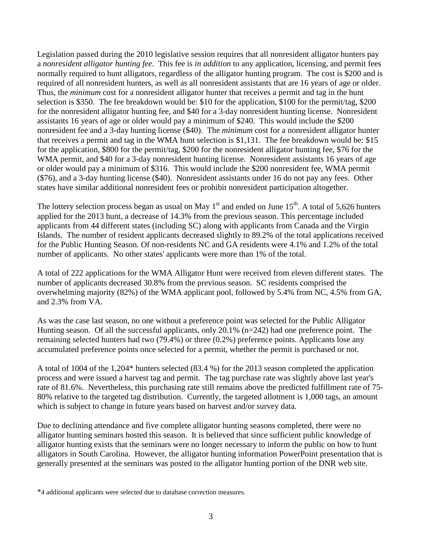Legislation passed during the 2010 legislative session requires that all nonresident alligator hunters pay a *nonresident alligator hunting fee*. This fee is *in addition* to any application, licensing, and permit fees normally required to hunt alligators, regardless of the alligator hunting program. The cost is \$200 and is required of all nonresident hunters, as well as all nonresident assistants that are 16 years of age or older. Thus, the *minimum* cost for a nonresident alligator hunter that receives a permit and tag in the hunt selection is \$350. The fee breakdown would be: \$10 for the application, \$100 for the permit/tag, \$200 for the nonresident alligator hunting fee, and \$40 for a 3-day nonresident hunting license. Nonresident assistants 16 years of age or older would pay a minimum of \$240. This would include the \$200 nonresident fee and a 3-day hunting license (\$40). The *minimum* cost for a nonresident alligator hunter that receives a permit and tag in the WMA hunt selection is \$1,131. The fee breakdown would be: \$15 for the application, \$800 for the permit/tag, \$200 for the nonresident alligator hunting fee, \$76 for the WMA permit, and \$40 for a 3-day nonresident hunting license. Nonresident assistants 16 years of age or older would pay a minimum of \$316. This would include the \$200 nonresident fee, WMA permit (\$76), and a 3-day hunting license (\$40). Nonresident assistants under 16 do not pay any fees. Other states have similar additional nonresident fees or prohibit nonresident participation altogether.

The lottery selection process began as usual on May  $1<sup>st</sup>$  and ended on June  $15<sup>th</sup>$ . A total of 5,626 hunters applied for the 2013 hunt, a decrease of 14.3% from the previous season. This percentage included applicants from 44 different states (including SC) along with applicants from Canada and the Virgin Islands. The number of resident applicants decreased slightly to 89.2% of the total applications received for the Public Hunting Season. Of non-residents NC and GA residents were 4.1% and 1.2% of the total number of applicants. No other states' applicants were more than 1% of the total.

A total of 222 applications for the WMA Alligator Hunt were received from eleven different states. The number of applicants decreased 30.8% from the previous season. SC residents comprised the overwhelming majority (82%) of the WMA applicant pool, followed by 5.4% from NC, 4.5% from GA, and 2.3% from VA.

As was the case last season, no one without a preference point was selected for the Public Alligator Hunting season. Of all the successful applicants, only 20.1% (n=242) had one preference point. The remaining selected hunters had two (79.4%) or three (0.2%) preference points. Applicants lose any accumulated preference points once selected for a permit, whether the permit is purchased or not.

A total of 1004 of the 1,204\* hunters selected (83.4 %) for the 2013 season completed the application process and were issued a harvest tag and permit. The tag purchase rate was slightly above last year's rate of 81.6%. Nevertheless, this purchasing rate still remains above the predicted fulfillment rate of 75- 80% relative to the targeted tag distribution. Currently, the targeted allotment is 1,000 tags, an amount which is subject to change in future years based on harvest and/or survey data.

Due to declining attendance and five complete alligator hunting seasons completed, there were no alligator hunting seminars hosted this season. It is believed that since sufficient public knowledge of alligator hunting exists that the seminars were no longer necessary to inform the public on how to hunt alligators in South Carolina. However, the alligator hunting information PowerPoint presentation that is generally presented at the seminars was posted to the alligator hunting portion of the DNR web site.

<sup>\*4</sup> additional applicants were selected due to database correction measures.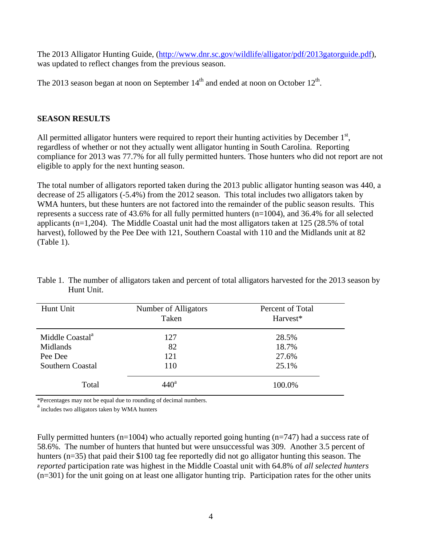The 2013 Alligator Hunting Guide, [\(http://www.dnr.sc.gov/wildlife/alligator/pdf/2013gatorguide.pdf\)](http://www.dnr.sc.gov/wildlife/alligator/pdf/2013gatorguide.pdf), was updated to reflect changes from the previous season.

The 2013 season began at noon on September  $14<sup>th</sup>$  and ended at noon on October  $12<sup>th</sup>$ .

#### **SEASON RESULTS**

All permitted alligator hunters were required to report their hunting activities by December  $1<sup>st</sup>$ , regardless of whether or not they actually went alligator hunting in South Carolina. Reporting compliance for 2013 was 77.7% for all fully permitted hunters. Those hunters who did not report are not eligible to apply for the next hunting season.

The total number of alligators reported taken during the 2013 public alligator hunting season was 440, a decrease of 25 alligators (-5.4%) from the 2012 season. This total includes two alligators taken by WMA hunters, but these hunters are not factored into the remainder of the public season results. This represents a success rate of 43.6% for all fully permitted hunters (n=1004), and 36.4% for all selected applicants (n=1,204). The Middle Coastal unit had the most alligators taken at 125 (28.5% of total harvest), followed by the Pee Dee with 121, Southern Coastal with 110 and the Midlands unit at 82 (Table 1).

| Hunt Unit                               | Number of Alligators<br>Taken | Percent of Total<br>Harvest* |
|-----------------------------------------|-------------------------------|------------------------------|
| Middle Coastal <sup>a</sup><br>Midlands | 127<br>82                     | 28.5%<br>18.7%               |
| Pee Dee                                 | 121                           | 27.6%                        |
| Southern Coastal                        | 110                           | 25.1%                        |
| Total                                   | $440^{\rm a}$                 | 100.0%                       |

Table 1. The number of alligators taken and percent of total alligators harvested for the 2013 season by Hunt Unit.

\*Percentages may not be equal due to rounding of decimal numbers. a includes two alligators taken by WMA hunters

Fully permitted hunters ( $n=1004$ ) who actually reported going hunting ( $n=747$ ) had a success rate of 58.6%. The number of hunters that hunted but were unsuccessful was 309. Another 3.5 percent of hunters (n=35) that paid their \$100 tag fee reportedly did not go alligator hunting this season. The *reported* participation rate was highest in the Middle Coastal unit with 64.8% of *all selected hunters* (n=301) for the unit going on at least one alligator hunting trip. Participation rates for the other units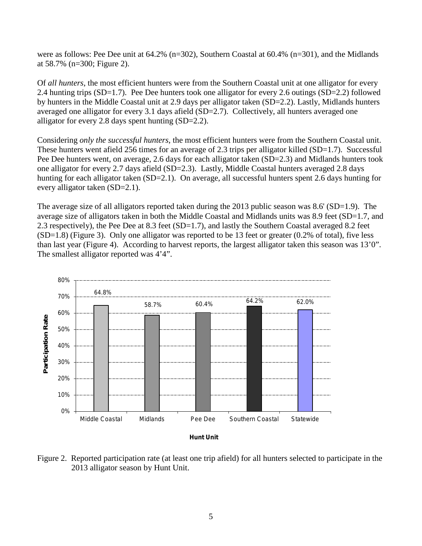were as follows: Pee Dee unit at 64.2% (n=302), Southern Coastal at 60.4% (n=301), and the Midlands at 58.7% (n=300; Figure 2).

Of *all hunters*, the most efficient hunters were from the Southern Coastal unit at one alligator for every 2.4 hunting trips (SD=1.7). Pee Dee hunters took one alligator for every 2.6 outings (SD=2.2) followed by hunters in the Middle Coastal unit at 2.9 days per alligator taken (SD=2.2). Lastly, Midlands hunters averaged one alligator for every 3.1 days afield (SD=2.7). Collectively, all hunters averaged one alligator for every 2.8 days spent hunting (SD=2.2).

Considering *only the successful hunters*, the most efficient hunters were from the Southern Coastal unit. These hunters went afield 256 times for an average of 2.3 trips per alligator killed (SD=1.7). Successful Pee Dee hunters went, on average, 2.6 days for each alligator taken (SD=2.3) and Midlands hunters took one alligator for every 2.7 days afield (SD=2.3). Lastly, Middle Coastal hunters averaged 2.8 days hunting for each alligator taken (SD=2.1). On average, all successful hunters spent 2.6 days hunting for every alligator taken (SD=2.1).

The average size of all alligators reported taken during the 2013 public season was 8.6' (SD=1.9). The average size of alligators taken in both the Middle Coastal and Midlands units was 8.9 feet (SD=1.7, and 2.3 respectively), the Pee Dee at 8.3 feet (SD=1.7), and lastly the Southern Coastal averaged 8.2 feet (SD=1.8) (Figure 3). Only one alligator was reported to be 13 feet or greater (0.2% of total), five less than last year (Figure 4). According to harvest reports, the largest alligator taken this season was 13'0". The smallest alligator reported was 4'4".



Figure 2. Reported participation rate (at least one trip afield) for all hunters selected to participate in the 2013 alligator season by Hunt Unit.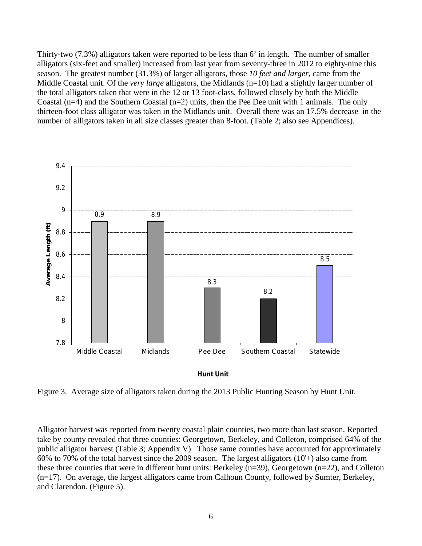Thirty-two (7.3%) alligators taken were reported to be less than 6' in length. The number of smaller alligators (six-feet and smaller) increased from last year from seventy-three in 2012 to eighty-nine this season. The greatest number (31.3%) of larger alligators, those *10 feet and larger*, came from the Middle Coastal unit. Of the *very large* alligators, the Midlands (n=10) had a slightly larger number of the total alligators taken that were in the 12 or 13 foot-class, followed closely by both the Middle Coastal ( $n=4$ ) and the Southern Coastal ( $n=2$ ) units, then the Pee Dee unit with 1 animals. The only thirteen-foot class alligator was taken in the Midlands unit. Overall there was an 17.5% decrease in the number of alligators taken in all size classes greater than 8-foot. (Table 2; also see Appendices).





Figure 3. Average size of alligators taken during the 2013 Public Hunting Season by Hunt Unit.

Alligator harvest was reported from twenty coastal plain counties, two more than last season. Reported take by county revealed that three counties: Georgetown, Berkeley, and Colleton, comprised 64% of the public alligator harvest (Table 3; Appendix V). Those same counties have accounted for approximately 60% to 70% of the total harvest since the 2009 season. The largest alligators (10'+) also came from these three counties that were in different hunt units: Berkeley (n=39), Georgetown (n=22), and Colleton (n=17). On average, the largest alligators came from Calhoun County, followed by Sumter, Berkeley, and Clarendon. (Figure 5).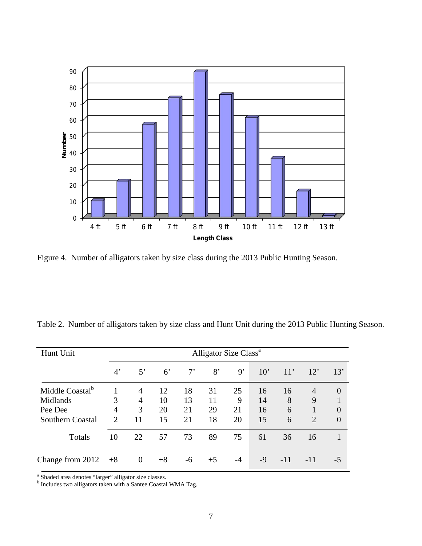

Figure 4. Number of alligators taken by size class during the 2013 Public Hunting Season.

|  |  |  |  | Table 2. Number of alligators taken by size class and Hunt Unit during the 2013 Public Hunting Season. |
|--|--|--|--|--------------------------------------------------------------------------------------------------------|
|  |  |  |  |                                                                                                        |

| Hunt Unit                   |                | Alligator Size Class <sup>a</sup> |             |             |      |      |              |       |                |                |
|-----------------------------|----------------|-----------------------------------|-------------|-------------|------|------|--------------|-------|----------------|----------------|
|                             | $4^{\circ}$    | $5^{\circ}$                       | $6^{\circ}$ | $7^{\circ}$ | 8'   | 9'   | $10^{\circ}$ | 11'   | 12'            | 13'            |
| Middle Coastal <sup>b</sup> |                | $\overline{4}$                    | 12          | 18          | 31   | 25   | 16           | 16    | $\overline{4}$ | $\overline{0}$ |
| Midlands                    | 3              | $\overline{4}$                    | 10          | 13          | 11   | 9    | 14           | 8     | 9              |                |
| Pee Dee                     | 4              | 3                                 | 20          | 21          | 29   | 21   | 16           | 6     | 1              | $\overline{0}$ |
| <b>Southern Coastal</b>     | $\overline{2}$ | 11                                | 15          | 21          | 18   | 20   | 15           | 6     | $\overline{2}$ | $\theta$       |
| Totals                      | 10             | 22                                | 57          | 73          | 89   | 75   | 61           | 36    | 16             |                |
| Change from 2012            | $+8$           | $\mathbf{0}$                      | $+8$        | $-6$        | $+5$ | $-4$ | -9           | $-11$ | $-11$          | $-5$           |

 $^{\rm a}$  Shaded area denotes "larger" alligator size classes.  $^{\rm b}$  Includes two alligators taken with a Santee Coastal WMA Tag.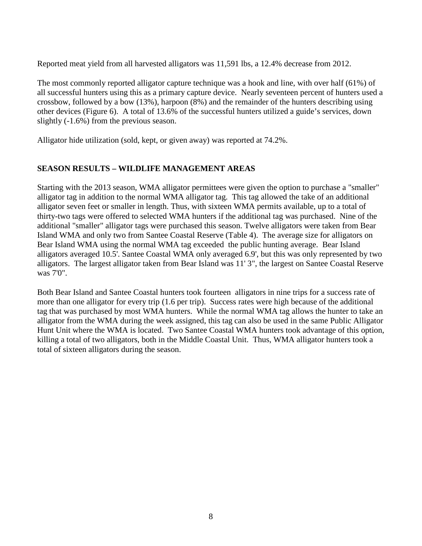Reported meat yield from all harvested alligators was 11,591 lbs, a 12.4% decrease from 2012.

The most commonly reported alligator capture technique was a hook and line, with over half (61%) of all successful hunters using this as a primary capture device. Nearly seventeen percent of hunters used a crossbow, followed by a bow (13%), harpoon (8%) and the remainder of the hunters describing using other devices (Figure 6). A total of 13.6% of the successful hunters utilized a guide's services, down slightly (-1.6%) from the previous season.

Alligator hide utilization (sold, kept, or given away) was reported at 74.2%.

### **SEASON RESULTS – WILDLIFE MANAGEMENT AREAS**

Starting with the 2013 season, WMA alligator permittees were given the option to purchase a "smaller" alligator tag in addition to the normal WMA alligator tag. This tag allowed the take of an additional alligator seven feet or smaller in length. Thus, with sixteen WMA permits available, up to a total of thirty-two tags were offered to selected WMA hunters if the additional tag was purchased. Nine of the additional "smaller" alligator tags were purchased this season. Twelve alligators were taken from Bear Island WMA and only two from Santee Coastal Reserve (Table 4). The average size for alligators on Bear Island WMA using the normal WMA tag exceeded the public hunting average. Bear Island alligators averaged 10.5'. Santee Coastal WMA only averaged 6.9', but this was only represented by two alligators. The largest alligator taken from Bear Island was 11' 3", the largest on Santee Coastal Reserve was 7'0".

Both Bear Island and Santee Coastal hunters took fourteen alligators in nine trips for a success rate of more than one alligator for every trip (1.6 per trip). Success rates were high because of the additional tag that was purchased by most WMA hunters. While the normal WMA tag allows the hunter to take an alligator from the WMA during the week assigned, this tag can also be used in the same Public Alligator Hunt Unit where the WMA is located. Two Santee Coastal WMA hunters took advantage of this option, killing a total of two alligators, both in the Middle Coastal Unit. Thus, WMA alligator hunters took a total of sixteen alligators during the season.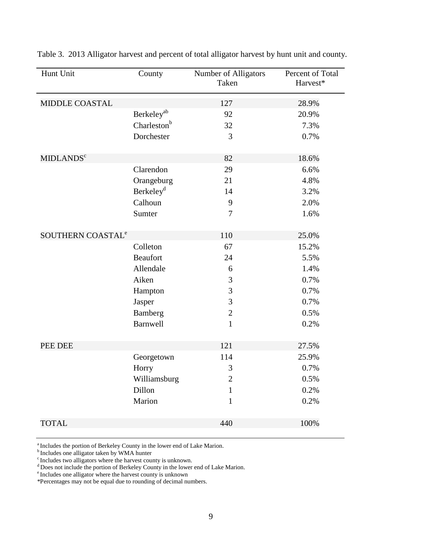| Hunt Unit                     | County                  | Number of Alligators<br>Taken | Percent of Total<br>Harvest* |
|-------------------------------|-------------------------|-------------------------------|------------------------------|
| <b>MIDDLE COASTAL</b>         |                         | 127                           | 28.9%                        |
|                               | Berkeley <sup>ab</sup>  | 92                            | 20.9%                        |
|                               | Charleston <sup>b</sup> | 32                            | 7.3%                         |
|                               | Dorchester              | 3                             | 0.7%                         |
| <b>MIDLANDS<sup>c</sup></b>   |                         | 82                            | 18.6%                        |
|                               | Clarendon               | 29                            | 6.6%                         |
|                               | Orangeburg              | 21                            | 4.8%                         |
|                               | Berkeley <sup>d</sup>   | 14                            | 3.2%                         |
|                               | Calhoun                 | 9                             | 2.0%                         |
|                               | Sumter                  | 7                             | 1.6%                         |
| SOUTHERN COASTAL <sup>e</sup> |                         | 110                           | 25.0%                        |
|                               | Colleton                | 67                            | 15.2%                        |
|                               | <b>Beaufort</b>         | 24                            | 5.5%                         |
|                               | Allendale               | 6                             | 1.4%                         |
|                               | Aiken                   | 3                             | 0.7%                         |
|                               | Hampton                 | 3                             | 0.7%                         |
|                               | Jasper                  | 3                             | 0.7%                         |
|                               | Bamberg                 | $\overline{2}$                | 0.5%                         |
|                               | Barnwell                | $\mathbf{1}$                  | 0.2%                         |
| PEE DEE                       |                         | 121                           | 27.5%                        |
|                               | Georgetown              | 114                           | 25.9%                        |
|                               | Horry                   | 3                             | 0.7%                         |
|                               | Williamsburg            | $\overline{2}$                | 0.5%                         |
|                               | Dillon                  | $\mathbf{1}$                  | 0.2%                         |
|                               | Marion                  | $\mathbf{1}$                  | 0.2%                         |
| <b>TOTAL</b>                  |                         | 440                           | 100%                         |

Table 3. 2013 Alligator harvest and percent of total alligator harvest by hunt unit and county.

<sup>a</sup> Includes the portion of Berkeley County in the lower end of Lake Marion. <br><sup>b</sup> Includes one alligator taken by WMA hunter c Includes two alligators where the harvest county is unknown.

d Does not include the portion of Berkeley County in the lower end of Lake Marion.

e Includes one alligator where the harvest county is unknown

\*Percentages may not be equal due to rounding of decimal numbers.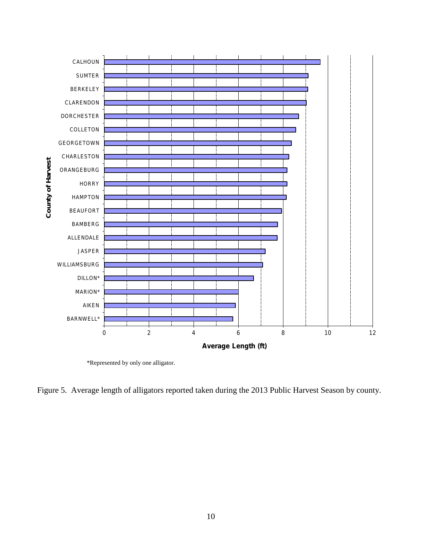

\*Represented by only one alligator.

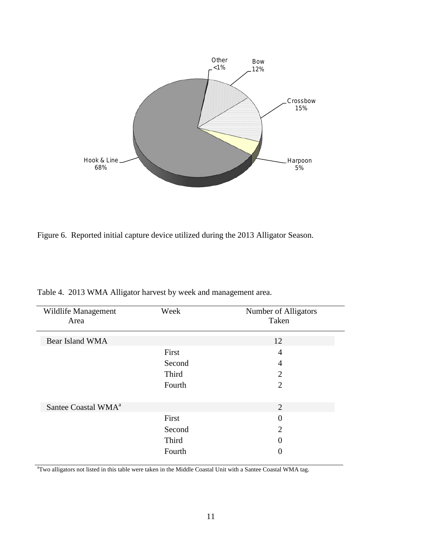

Figure 6. Reported initial capture device utilized during the 2013 Alligator Season.

| Wildlife Management<br>Area     | Week   | Number of Alligators<br>Taken |
|---------------------------------|--------|-------------------------------|
| Bear Island WMA                 |        | 12                            |
|                                 | First  | 4                             |
|                                 | Second | 4                             |
|                                 | Third  | $\overline{2}$                |
|                                 | Fourth | $\overline{2}$                |
| Santee Coastal WMA <sup>a</sup> |        | 2                             |
|                                 | First  | $\theta$                      |
|                                 | Second | $\overline{2}$                |
|                                 | Third  | 0                             |
|                                 | Fourth |                               |

Table 4. 2013 WMA Alligator harvest by week and management area.

<sup>a</sup>Two alligators not listed in this table were taken in the Middle Coastal Unit with a Santee Coastal WMA tag.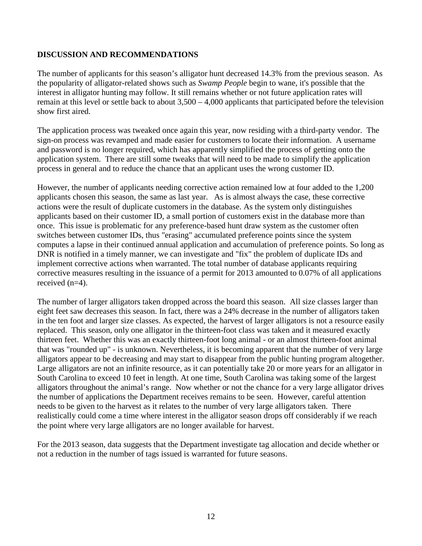#### **DISCUSSION AND RECOMMENDATIONS**

The number of applicants for this season's alligator hunt decreased 14.3% from the previous season. As the popularity of alligator-related shows such as *Swamp People* begin to wane, it's possible that the interest in alligator hunting may follow. It still remains whether or not future application rates will remain at this level or settle back to about 3,500 – 4,000 applicants that participated before the television show first aired.

The application process was tweaked once again this year, now residing with a third-party vendor. The sign-on process was revamped and made easier for customers to locate their information. A username and password is no longer required, which has apparently simplified the process of getting onto the application system. There are still some tweaks that will need to be made to simplify the application process in general and to reduce the chance that an applicant uses the wrong customer ID.

However, the number of applicants needing corrective action remained low at four added to the 1,200 applicants chosen this season, the same as last year. As is almost always the case, these corrective actions were the result of duplicate customers in the database. As the system only distinguishes applicants based on their customer ID, a small portion of customers exist in the database more than once. This issue is problematic for any preference-based hunt draw system as the customer often switches between customer IDs, thus "erasing" accumulated preference points since the system computes a lapse in their continued annual application and accumulation of preference points. So long as DNR is notified in a timely manner, we can investigate and "fix" the problem of duplicate IDs and implement corrective actions when warranted. The total number of database applicants requiring corrective measures resulting in the issuance of a permit for 2013 amounted to 0.07% of all applications received (n=4).

The number of larger alligators taken dropped across the board this season. All size classes larger than eight feet saw decreases this season. In fact, there was a 24% decrease in the number of alligators taken in the ten foot and larger size classes. As expected, the harvest of larger alligators is not a resource easily replaced. This season, only one alligator in the thirteen-foot class was taken and it measured exactly thirteen feet. Whether this was an exactly thirteen-foot long animal - or an almost thirteen-foot animal that was "rounded up" - is unknown. Nevertheless, it is becoming apparent that the number of very large alligators appear to be decreasing and may start to disappear from the public hunting program altogether. Large alligators are not an infinite resource, as it can potentially take 20 or more years for an alligator in South Carolina to exceed 10 feet in length. At one time, South Carolina was taking some of the largest alligators throughout the animal's range. Now whether or not the chance for a very large alligator drives the number of applications the Department receives remains to be seen. However, careful attention needs to be given to the harvest as it relates to the number of very large alligators taken. There realistically could come a time where interest in the alligator season drops off considerably if we reach the point where very large alligators are no longer available for harvest.

For the 2013 season, data suggests that the Department investigate tag allocation and decide whether or not a reduction in the number of tags issued is warranted for future seasons.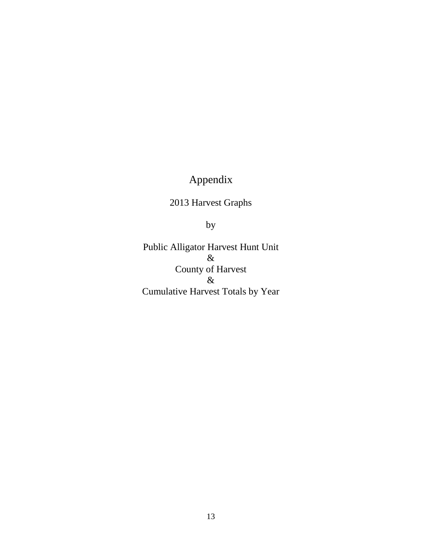## Appendix

2013 Harvest Graphs

by

Public Alligator Harvest Hunt Unit & County of Harvest & Cumulative Harvest Totals by Year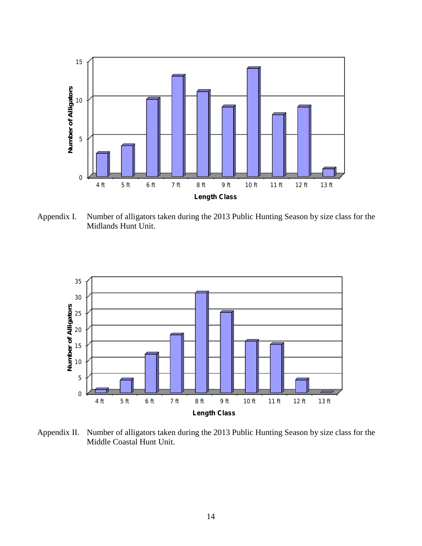

Appendix I. Number of alligators taken during the 2013 Public Hunting Season by size class for the Midlands Hunt Unit.



Appendix II. Number of alligators taken during the 2013 Public Hunting Season by size class for the Middle Coastal Hunt Unit.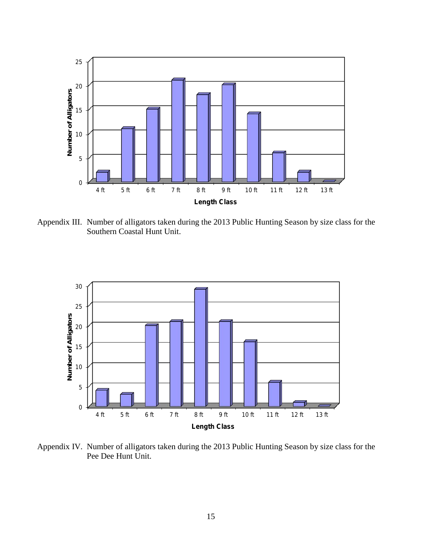

Appendix III. Number of alligators taken during the 2013 Public Hunting Season by size class for the Southern Coastal Hunt Unit.



Appendix IV. Number of alligators taken during the 2013 Public Hunting Season by size class for the Pee Dee Hunt Unit.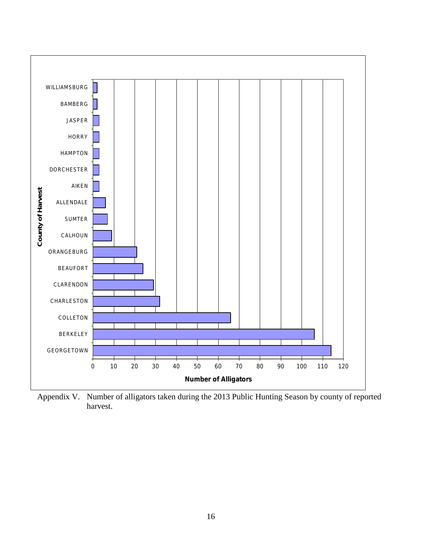

Appendix V. Number of alligators taken during the 2013 Public Hunting Season by county of reported harvest.